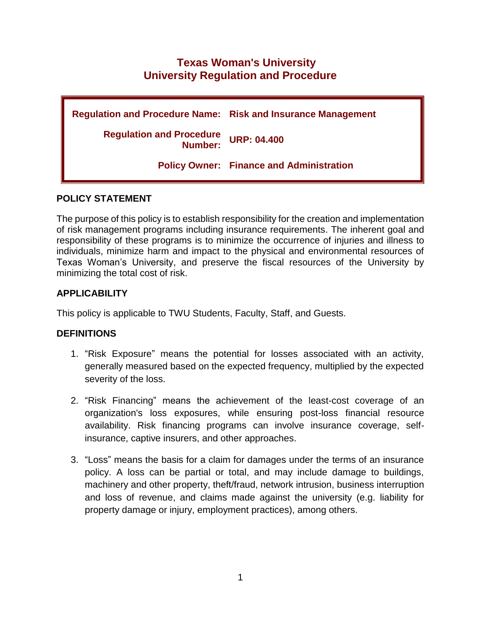# **Texas Woman's University University Regulation and Procedure**

| <b>Regulation and Procedure Name: Risk and Insurance Management</b> |                                                 |
|---------------------------------------------------------------------|-------------------------------------------------|
| <b>Regulation and Procedure</b><br>Number:                          | <b>URP: 04.400</b>                              |
|                                                                     | <b>Policy Owner: Finance and Administration</b> |

#### **POLICY STATEMENT**

The purpose of this policy is to establish responsibility for the creation and implementation of risk management programs including insurance requirements. The inherent goal and responsibility of these programs is to minimize the occurrence of injuries and illness to individuals, minimize harm and impact to the physical and environmental resources of Texas Woman's University, and preserve the fiscal resources of the University by minimizing the total cost of risk.

## **APPLICABILITY**

This policy is applicable to TWU Students, Faculty, Staff, and Guests.

## **DEFINITIONS**

- 1. "Risk Exposure" means the potential for losses associated with an activity, generally measured based on the expected frequency, multiplied by the expected severity of the loss.
- 2. "Risk Financing" means the achievement of the least-cost coverage of an organization's loss exposures, while ensuring post-loss financial resource availability. Risk financing programs can involve insurance coverage, selfinsurance, captive insurers, and other approaches.
- 3. "Loss" means the basis for a claim for damages under the terms of an insurance policy. A loss can be partial or total, and may include damage to buildings, machinery and other property, theft/fraud, network intrusion, business interruption and loss of revenue, and claims made against the university (e.g. liability for property damage or injury, employment practices), among others.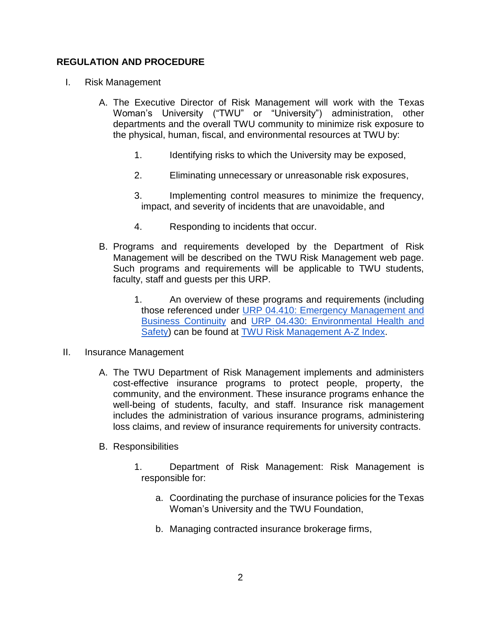#### **REGULATION AND PROCEDURE**

- I. Risk Management
	- A. The Executive Director of Risk Management will work with the Texas Woman's University ("TWU" or "University") administration, other departments and the overall TWU community to minimize risk exposure to the physical, human, fiscal, and environmental resources at TWU by:
		- 1. Identifying risks to which the University may be exposed,
		- 2. Eliminating unnecessary or unreasonable risk exposures,
		- 3. Implementing control measures to minimize the frequency, impact, and severity of incidents that are unavoidable, and
		- 4. Responding to incidents that occur.
	- B. Programs and requirements developed by the Department of Risk Management will be described on the TWU Risk Management web page. Such programs and requirements will be applicable to TWU students, faculty, staff and guests per this URP.
		- 1. An overview of these programs and requirements (including those referenced under URP 04.410: [Emergency Management and](https://public.powerdms.com/TWU1/documents/1745831)  [Business Continuity](https://public.powerdms.com/TWU1/documents/1745831) and URP 04.430: [Environmental Health and](https://public.powerdms.com/TWU1/documents/1745830)  [Safety\)](https://public.powerdms.com/TWU1/documents/1745830) can be found at [TWU Risk Management A-Z Index.](https://twu.edu/risk/risk-management-a-z-index/)
- II. Insurance Management
	- A. The TWU Department of Risk Management implements and administers cost-effective insurance programs to protect people, property, the community, and the environment. These insurance programs enhance the well-being of students, faculty, and staff. Insurance risk management includes the administration of various insurance programs, administering loss claims, and review of insurance requirements for university contracts.
	- B. Responsibilities
		- 1. Department of Risk Management: Risk Management is responsible for:
			- a. Coordinating the purchase of insurance policies for the Texas Woman's University and the TWU Foundation,
			- b. Managing contracted insurance brokerage firms,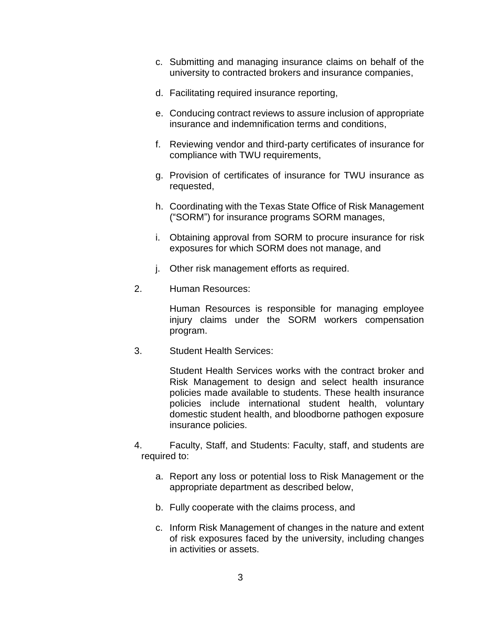- c. Submitting and managing insurance claims on behalf of the university to contracted brokers and insurance companies,
- d. Facilitating required insurance reporting,
- e. Conducing contract reviews to assure inclusion of appropriate insurance and indemnification terms and conditions,
- f. Reviewing vendor and third-party certificates of insurance for compliance with TWU requirements,
- g. Provision of certificates of insurance for TWU insurance as requested,
- h. Coordinating with the Texas State Office of Risk Management ("SORM") for insurance programs SORM manages,
- i. Obtaining approval from SORM to procure insurance for risk exposures for which SORM does not manage, and
- j. Other risk management efforts as required.
- 2. Human Resources:

Human Resources is responsible for managing employee injury claims under the SORM workers compensation program.

3. Student Health Services:

Student Health Services works with the contract broker and Risk Management to design and select health insurance policies made available to students. These health insurance policies include international student health, voluntary domestic student health, and bloodborne pathogen exposure insurance policies.

- 4. Faculty, Staff, and Students: Faculty, staff, and students are required to:
	- a. Report any loss or potential loss to Risk Management or the appropriate department as described below,
	- b. Fully cooperate with the claims process, and
	- c. Inform Risk Management of changes in the nature and extent of risk exposures faced by the university, including changes in activities or assets.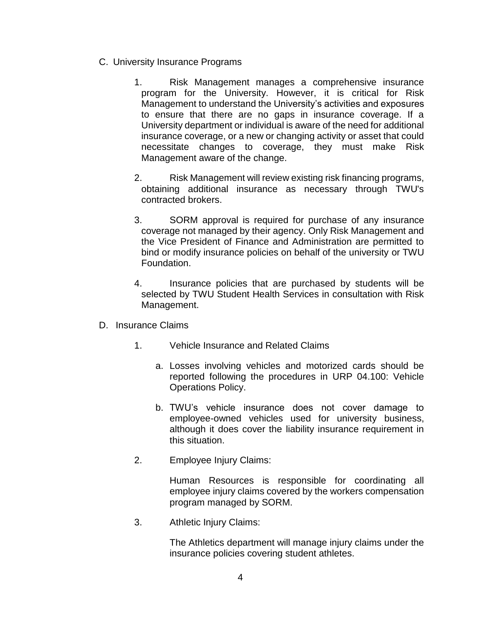- C. University Insurance Programs
	- 1. Risk Management manages a comprehensive insurance program for the University. However, it is critical for Risk Management to understand the University's activities and exposures to ensure that there are no gaps in insurance coverage. If a University department or individual is aware of the need for additional insurance coverage, or a new or changing activity or asset that could necessitate changes to coverage, they must make Risk Management aware of the change.
	- 2. Risk Management will review existing risk financing programs, obtaining additional insurance as necessary through TWU's contracted brokers.
	- 3. SORM approval is required for purchase of any insurance coverage not managed by their agency. Only Risk Management and the Vice President of Finance and Administration are permitted to bind or modify insurance policies on behalf of the university or TWU Foundation.
	- 4. Insurance policies that are purchased by students will be selected by TWU Student Health Services in consultation with Risk Management.
- D. Insurance Claims
	- 1. Vehicle Insurance and Related Claims
		- a. Losses involving vehicles and motorized cards should be reported following the procedures in [URP 04.100: Vehicle](https://public.powerdms.com/TWU1/documents/1745666)  [Operations Policy.](https://public.powerdms.com/TWU1/documents/1745666)
		- b. TWU's vehicle insurance does not cover damage to employee-owned vehicles used for university business, although it does cover the liability insurance requirement in this situation.
	- 2. Employee Injury Claims:

Human Resources is responsible for coordinating all employee injury claims covered by the workers compensation program managed by SORM.

3. Athletic Injury Claims:

The Athletics department will manage injury claims under the insurance policies covering student athletes.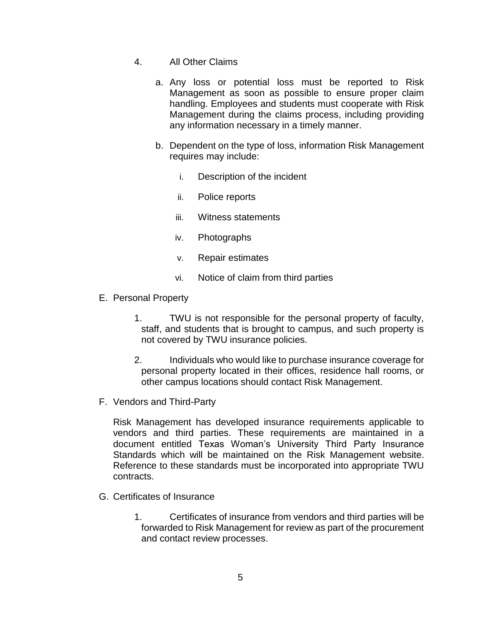- 4. All Other Claims
	- a. Any loss or potential loss must be reported to Risk Management as soon as possible to ensure proper claim handling. Employees and students must cooperate with Risk Management during the claims process, including providing any information necessary in a timely manner.
	- b. Dependent on the type of loss, information Risk Management requires may include:
		- i. Description of the incident
		- ii. Police reports
		- iii. Witness statements
		- iv. Photographs
		- v. Repair estimates
		- vi. Notice of claim from third parties
- E. Personal Property
	- 1. TWU is not responsible for the personal property of faculty, staff, and students that is brought to campus, and such property is not covered by TWU insurance policies.
	- 2. Individuals who would like to purchase insurance coverage for personal property located in their offices, residence hall rooms, or other campus locations should contact Risk Management.
- F. Vendors and Third-Party

Risk Management has developed insurance requirements applicable to vendors and third parties. These requirements are maintained in a document entitle[d](https://twu.edu/media/documents/risk-management/TWU-Third-Party-Insurance-Standards.pdf) [Texas Woman's University Third Party Insurance](https://twu.edu/media/documents/risk-management/TWU-Third-Party-Insurance-Standards.pdf)  [Standards](https://twu.edu/media/documents/risk-management/TWU-Third-Party-Insurance-Standards.pdf) which will be maintained on th[e](https://twu.edu/risk/insurance-programs-and-standards/) [Risk Management website.](https://twu.edu/risk/insurance-programs-and-standards/) Reference to these standards must be incorporated into appropriate TWU contracts.

- G. Certificates of Insurance
	- 1. Certificates of insurance from vendors and third parties will be forwarded to Risk Management for review as part of the procurement and contact review processes.